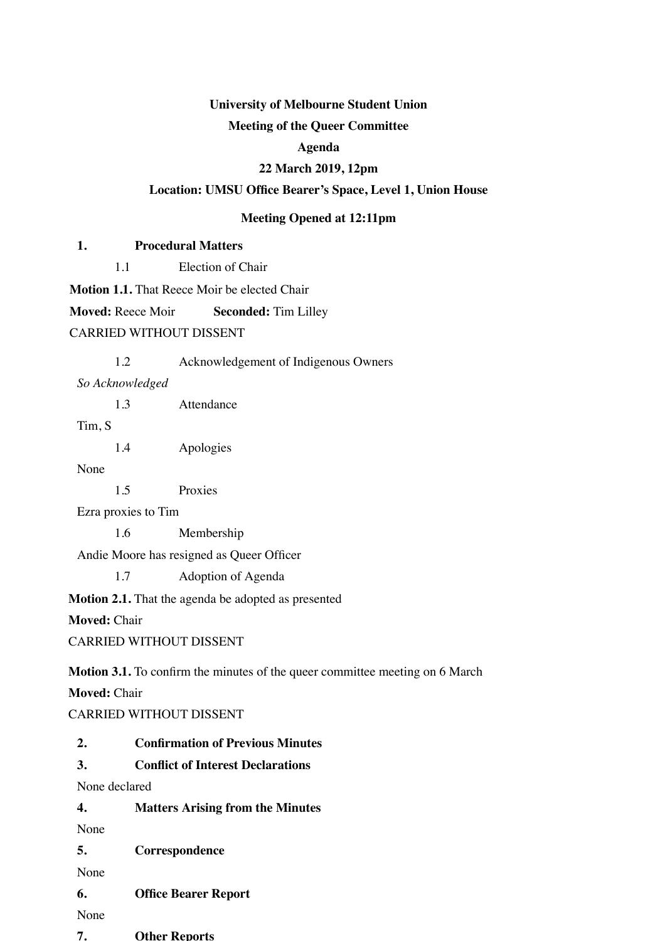# **University of Melbourne Student Union**

#### **Meeting of the Queer Committee**

#### **Agenda**

#### **22 March 2019, 12pm**

### **Location: UMSU Office Bearer's Space, Level 1, Union House**

#### **Meeting Opened at 12:11pm**

#### **1. Procedural Matters**

1.1 Election of Chair

**Motion 1.1.** That Reece Moir be elected Chair

**Moved:** Reece Moir **Seconded:** Tim Lilley

CARRIED WITHOUT DISSENT

| 1.2 | Acknowledgement of Indigenous Owners |  |
|-----|--------------------------------------|--|

*So Acknowledged*

1.3 Attendance

Tim, S

1.4 Apologies

None

1.5 Proxies

Ezra proxies to Tim

1.6 Membership

Andie Moore has resigned as Queer Officer

1.7 Adoption of Agenda

**Motion 2.1.** That the agenda be adopted as presented

**Moved:** Chair

CARRIED WITHOUT DISSENT

**Motion 3.1.** To confirm the minutes of the queer committee meeting on 6 March

**Moved:** Chair

CARRIED WITHOUT DISSENT

- **2. Confirmation of Previous Minutes**
- **3. Conflict of Interest Declarations**

None declared

| 4. | <b>Matters Arising from the Minutes</b> |  |  |
|----|-----------------------------------------|--|--|
|    |                                         |  |  |

None

**5. Correspondence**

None

**6. Office Bearer Report**

None

**7. Other Reports**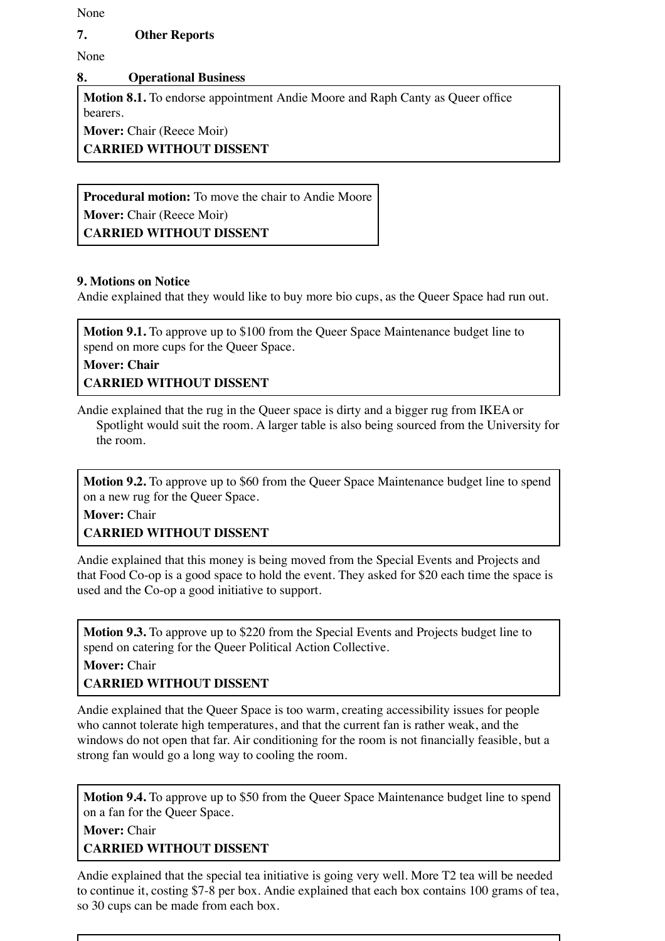None

### **7. Other Reports**

None

### **8. Operational Business**

**Motion 8.1.** To endorse appointment Andie Moore and Raph Canty as Queer office bearers.

**Mover:** Chair (Reece Moir)

**CARRIED WITHOUT DISSENT**

**Procedural motion:** To move the chair to Andie Moore **Mover:** Chair (Reece Moir) **CARRIED WITHOUT DISSENT**

### **9. Motions on Notice**

Andie explained that they would like to buy more bio cups, as the Queer Space had run out.

**Motion 9.1.** To approve up to \$100 from the Queer Space Maintenance budget line to spend on more cups for the Queer Space.

### **Mover: Chair CARRIED WITHOUT DISSENT**

Andie explained that the rug in the Queer space is dirty and a bigger rug from IKEA or Spotlight would suit the room. A larger table is also being sourced from the University for the room.

**Motion 9.2.** To approve up to \$60 from the Queer Space Maintenance budget line to spend on a new rug for the Queer Space.

# **Mover:** Chair **CARRIED WITHOUT DISSENT**

Andie explained that this money is being moved from the Special Events and Projects and that Food Co-op is a good space to hold the event. They asked for \$20 each time the space is used and the Co-op a good initiative to support.

**Motion 9.3.** To approve up to \$220 from the Special Events and Projects budget line to spend on catering for the Queer Political Action Collective.

**Mover:** Chair

# **CARRIED WITHOUT DISSENT**

Andie explained that the Queer Space is too warm, creating accessibility issues for people who cannot tolerate high temperatures, and that the current fan is rather weak, and the windows do not open that far. Air conditioning for the room is not financially feasible, but a strong fan would go a long way to cooling the room.

**Motion 9.4.** To approve up to \$50 from the Queer Space Maintenance budget line to spend on a fan for the Queer Space.

**Mover:** Chair **CARRIED WITHOUT DISSENT**

Andie explained that the special tea initiative is going very well. More T2 tea will be needed to continue it, costing \$7-8 per box. Andie explained that each box contains 100 grams of tea, so 30 cups can be made from each box.